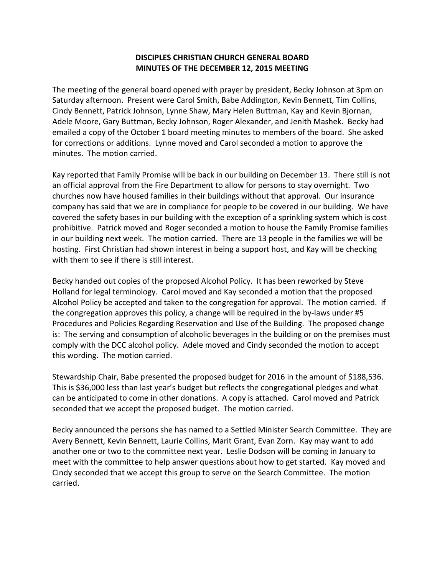## **DISCIPLES CHRISTIAN CHURCH GENERAL BOARD MINUTES OF THE DECEMBER 12, 2015 MEETING**

The meeting of the general board opened with prayer by president, Becky Johnson at 3pm on Saturday afternoon. Present were Carol Smith, Babe Addington, Kevin Bennett, Tim Collins, Cindy Bennett, Patrick Johnson, Lynne Shaw, Mary Helen Buttman, Kay and Kevin Bjornan, Adele Moore, Gary Buttman, Becky Johnson, Roger Alexander, and Jenith Mashek. Becky had emailed a copy of the October 1 board meeting minutes to members of the board. She asked for corrections or additions. Lynne moved and Carol seconded a motion to approve the minutes. The motion carried.

Kay reported that Family Promise will be back in our building on December 13. There still is not an official approval from the Fire Department to allow for persons to stay overnight. Two churches now have housed families in their buildings without that approval. Our insurance company has said that we are in compliance for people to be covered in our building. We have covered the safety bases in our building with the exception of a sprinkling system which is cost prohibitive. Patrick moved and Roger seconded a motion to house the Family Promise families in our building next week. The motion carried. There are 13 people in the families we will be hosting. First Christian had shown interest in being a support host, and Kay will be checking with them to see if there is still interest.

Becky handed out copies of the proposed Alcohol Policy. It has been reworked by Steve Holland for legal terminology. Carol moved and Kay seconded a motion that the proposed Alcohol Policy be accepted and taken to the congregation for approval. The motion carried. If the congregation approves this policy, a change will be required in the by-laws under #5 Procedures and Policies Regarding Reservation and Use of the Building. The proposed change is: The serving and consumption of alcoholic beverages in the building or on the premises must comply with the DCC alcohol policy. Adele moved and Cindy seconded the motion to accept this wording. The motion carried.

Stewardship Chair, Babe presented the proposed budget for 2016 in the amount of \$188,536. This is \$36,000 less than last year's budget but reflects the congregational pledges and what can be anticipated to come in other donations. A copy is attached. Carol moved and Patrick seconded that we accept the proposed budget. The motion carried.

Becky announced the persons she has named to a Settled Minister Search Committee. They are Avery Bennett, Kevin Bennett, Laurie Collins, Marit Grant, Evan Zorn. Kay may want to add another one or two to the committee next year. Leslie Dodson will be coming in January to meet with the committee to help answer questions about how to get started. Kay moved and Cindy seconded that we accept this group to serve on the Search Committee. The motion carried.